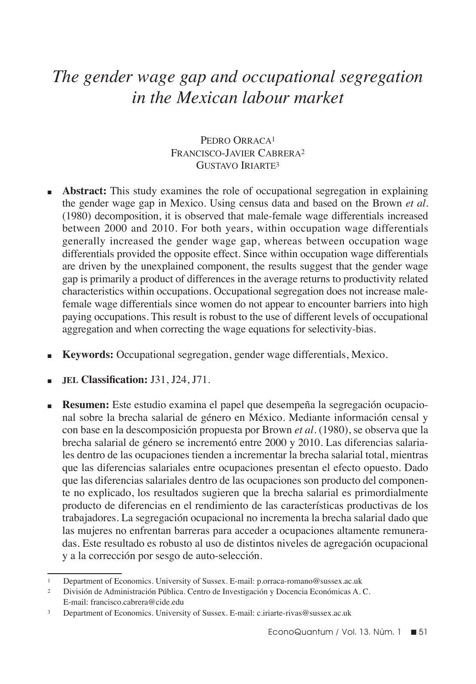# *The gender wage gap and occupational segregation in the Mexican labour market*

## PEDRO ORRACA<sup>1</sup> Francisco-Javier Cabrera2 GUSTAVO IRIARTE<sup>3</sup>

- **Abstract:** This study examines the role of occupational segregation in explaining the gender wage gap in Mexico. Using census data and based on the Brown *et al*. (1980) decomposition, it is observed that male-female wage differentials increased between 2000 and 2010. For both years, within occupation wage differentials generally increased the gender wage gap, whereas between occupation wage differentials provided the opposite effect. Since within occupation wage differentials are driven by the unexplained component, the results suggest that the gender wage gap is primarily a product of differences in the average returns to productivity related characteristics within occupations. Occupational segregation does not increase malefemale wage differentials since women do not appear to encounter barriers into high paying occupations. This result is robust to the use of different levels of occupational aggregation and when correcting the wage equations for selectivity-bias.
- <sup>n</sup>**Keywords:** Occupational segregation, gender wage differentials, Mexico.
- <sup>n</sup>**jel Classification:** J31, J24, J71.
- <sup>n</sup> **Resumen:** Este estudio examina el papel que desempeña la segregación ocupacional sobre la brecha salarial de género en México. Mediante información censal y con base en la descomposición propuesta por Brown *et al*. (1980), se observa que la brecha salarial de género se incrementó entre 2000 y 2010. Las diferencias salariales dentro de las ocupaciones tienden a incrementar la brecha salarial total, mientras que las diferencias salariales entre ocupaciones presentan el efecto opuesto. Dado que las diferencias salariales dentro de las ocupaciones son producto del componente no explicado, los resultados sugieren que la brecha salarial es primordialmente producto de diferencias en el rendimiento de las características productivas de los trabajadores. La segregación ocupacional no incrementa la brecha salarial dado que las mujeres no enfrentan barreras para acceder a ocupaciones altamente remuneradas. Este resultado es robusto al uso de distintos niveles de agregación ocupacional y a la corrección por sesgo de auto-selección.

<sup>1</sup> Department of Economics. University of Sussex. E-mail: p.orraca-romano@sussex.ac.uk

<sup>2</sup> División de Administración Pública. Centro de Investigación y Docencia Económicas A. C. E-mail: francisco.cabrera@cide.edu

<sup>3</sup> Department of Economics. University of Sussex. E-mail: c.iriarte-rivas@sussex.ac.uk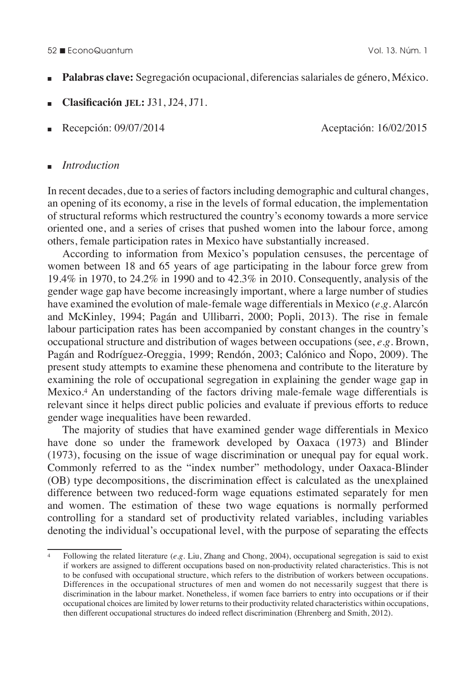#### 52 n EconoQuantum Vol. 13. Núm. 1

- <sup>n</sup>**Palabras clave:** Segregación ocupacional, diferencias salariales de género, México.
- <sup>n</sup>**Clasificación jel:** J31, J24, J71.
- 

<sup>n</sup>Recepción: 09/07/2014 Aceptación: 16/02/2015

#### <sup>n</sup>*Introduction*

In recent decades, due to a series of factors including demographic and cultural changes, an opening of its economy, a rise in the levels of formal education, the implementation of structural reforms which restructured the country's economy towards a more service oriented one, and a series of crises that pushed women into the labour force, among others, female participation rates in Mexico have substantially increased.

According to information from Mexico's population censuses, the percentage of women between 18 and 65 years of age participating in the labour force grew from 19.4% in 1970, to 24.2% in 1990 and to 42.3% in 2010. Consequently, analysis of the gender wage gap have become increasingly important, where a large number of studies have examined the evolution of male-female wage differentials in Mexico (*e.g.* Alarcón and McKinley, 1994; Pagán and Ullibarri, 2000; Popli, 2013). The rise in female labour participation rates has been accompanied by constant changes in the country's occupational structure and distribution of wages between occupations (see, *e.g.* Brown, Pagán and Rodríguez-Oreggia, 1999; Rendón, 2003; Calónico and Ñopo, 2009). The present study attempts to examine these phenomena and contribute to the literature by examining the role of occupational segregation in explaining the gender wage gap in Mexico.4 An understanding of the factors driving male-female wage differentials is relevant since it helps direct public policies and evaluate if previous efforts to reduce gender wage inequalities have been rewarded.

The majority of studies that have examined gender wage differentials in Mexico have done so under the framework developed by Oaxaca (1973) and Blinder (1973), focusing on the issue of wage discrimination or unequal pay for equal work. Commonly referred to as the "index number" methodology, under Oaxaca-Blinder (OB) type decompositions, the discrimination effect is calculated as the unexplained difference between two reduced-form wage equations estimated separately for men and women. The estimation of these two wage equations is normally performed controlling for a standard set of productivity related variables, including variables denoting the individual's occupational level, with the purpose of separating the effects

<sup>4</sup> Following the related literature (*e.g.* Liu, Zhang and Chong, 2004), occupational segregation is said to exist if workers are assigned to different occupations based on non-productivity related characteristics. This is not to be confused with occupational structure, which refers to the distribution of workers between occupations. Differences in the occupational structures of men and women do not necessarily suggest that there is discrimination in the labour market. Nonetheless, if women face barriers to entry into occupations or if their occupational choices are limited by lower returns to their productivity related characteristics within occupations, then different occupational structures do indeed reflect discrimination (Ehrenberg and Smith, 2012).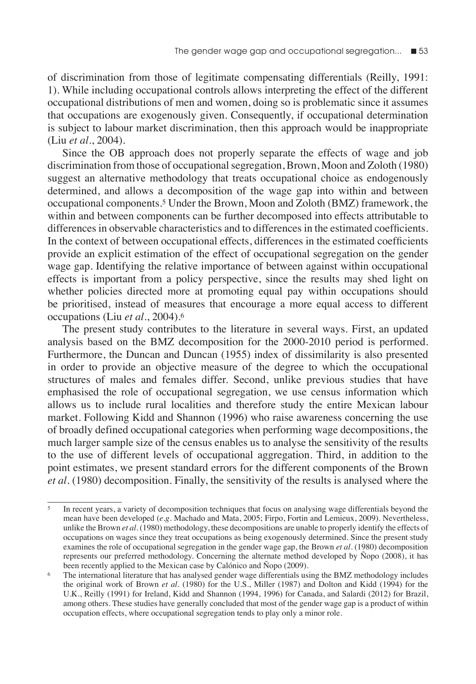of discrimination from those of legitimate compensating differentials (Reilly, 1991: 1). While including occupational controls allows interpreting the effect of the different occupational distributions of men and women, doing so is problematic since it assumes that occupations are exogenously given. Consequently, if occupational determination is subject to labour market discrimination, then this approach would be inappropriate (Liu *et al.*, 2004).

Since the OB approach does not properly separate the effects of wage and job discrimination from those of occupational segregation, Brown, Moon and Zoloth (1980) suggest an alternative methodology that treats occupational choice as endogenously determined, and allows a decomposition of the wage gap into within and between occupational components.5 Under the Brown, Moon and Zoloth (BMZ) framework, the within and between components can be further decomposed into effects attributable to differences in observable characteristics and to differences in the estimated coefficients. In the context of between occupational effects, differences in the estimated coefficients provide an explicit estimation of the effect of occupational segregation on the gender wage gap. Identifying the relative importance of between against within occupational effects is important from a policy perspective, since the results may shed light on whether policies directed more at promoting equal pay within occupations should be prioritised, instead of measures that encourage a more equal access to different occupations (Liu *et al*., 2004).6

The present study contributes to the literature in several ways. First, an updated analysis based on the BMZ decomposition for the 2000-2010 period is performed. Furthermore, the Duncan and Duncan (1955) index of dissimilarity is also presented in order to provide an objective measure of the degree to which the occupational structures of males and females differ. Second, unlike previous studies that have emphasised the role of occupational segregation, we use census information which allows us to include rural localities and therefore study the entire Mexican labour market. Following Kidd and Shannon (1996) who raise awareness concerning the use of broadly defined occupational categories when performing wage decompositions, the much larger sample size of the census enables us to analyse the sensitivity of the results to the use of different levels of occupational aggregation. Third, in addition to the point estimates, we present standard errors for the different components of the Brown *et al*. (1980) decomposition. Finally, the sensitivity of the results is analysed where the

<sup>5</sup> In recent years, a variety of decomposition techniques that focus on analysing wage differentials beyond the mean have been developed (*e.g.* Machado and Mata, 2005; Firpo, Fortin and Lemieux, 2009). Nevertheless, unlike the Brown *et al.* (1980) methodology, these decompositions are unable to properly identify the effects of occupations on wages since they treat occupations as being exogenously determined. Since the present study examines the role of occupational segregation in the gender wage gap, the Brown *et al.* (1980) decomposition represents our preferred methodology. Concerning the alternate method developed by Ñopo (2008), it has been recently applied to the Mexican case by Calónico and Ñopo (2009).

<sup>6</sup> The international literature that has analysed gender wage differentials using the BMZ methodology includes the original work of Brown *et al*. (1980) for the U.S., Miller (1987) and Dolton and Kidd (1994) for the U.K., Reilly (1991) for Ireland, Kidd and Shannon (1994, 1996) for Canada, and Salardi (2012) for Brazil, among others. These studies have generally concluded that most of the gender wage gap is a product of within occupation effects, where occupational segregation tends to play only a minor role.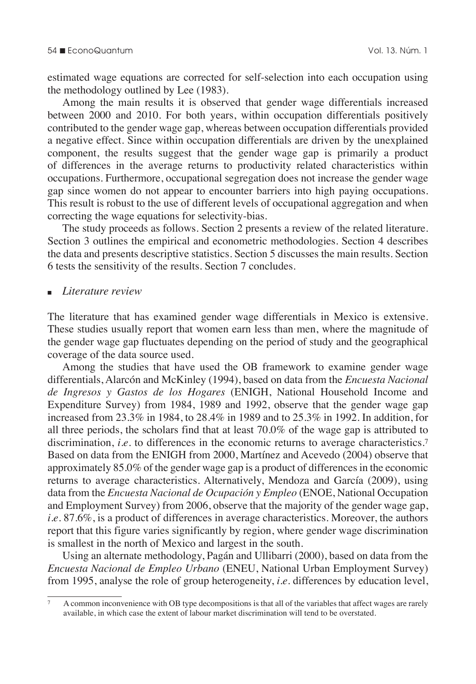estimated wage equations are corrected for self-selection into each occupation using the methodology outlined by Lee (1983).

Among the main results it is observed that gender wage differentials increased between 2000 and 2010. For both years, within occupation differentials positively contributed to the gender wage gap, whereas between occupation differentials provided a negative effect. Since within occupation differentials are driven by the unexplained component, the results suggest that the gender wage gap is primarily a product of differences in the average returns to productivity related characteristics within occupations. Furthermore, occupational segregation does not increase the gender wage gap since women do not appear to encounter barriers into high paying occupations. This result is robust to the use of different levels of occupational aggregation and when correcting the wage equations for selectivity-bias.

The study proceeds as follows. Section 2 presents a review of the related literature. Section 3 outlines the empirical and econometric methodologies. Section 4 describes the data and presents descriptive statistics. Section 5 discusses the main results. Section 6 tests the sensitivity of the results. Section 7 concludes.

#### <sup>n</sup>*Literature review*

The literature that has examined gender wage differentials in Mexico is extensive. These studies usually report that women earn less than men, where the magnitude of the gender wage gap fluctuates depending on the period of study and the geographical coverage of the data source used.

Among the studies that have used the OB framework to examine gender wage differentials, Alarcón and McKinley (1994), based on data from the *Encuesta Nacional de Ingresos y Gastos de los Hogares* (ENIGH, National Household Income and Expenditure Survey) from 1984, 1989 and 1992, observe that the gender wage gap increased from 23.3% in 1984, to 28.4% in 1989 and to 25.3% in 1992. In addition, for all three periods, the scholars find that at least 70.0% of the wage gap is attributed to discrimination, *i.e.* to differences in the economic returns to average characteristics.<sup>7</sup> Based on data from the ENIGH from 2000, Martínez and Acevedo (2004) observe that approximately 85.0% of the gender wage gap is a product of differences in the economic returns to average characteristics. Alternatively, Mendoza and García (2009), using data from the *Encuesta Nacional de Ocupación y Empleo* (ENOE, National Occupation and Employment Survey) from 2006, observe that the majority of the gender wage gap, *i.e.* 87.6%, is a product of differences in average characteristics. Moreover, the authors report that this figure varies significantly by region, where gender wage discrimination is smallest in the north of Mexico and largest in the south.

Using an alternate methodology, Pagán and Ullibarri (2000), based on data from the *Encuesta Nacional de Empleo Urbano* (ENEU, National Urban Employment Survey) from 1995, analyse the role of group heterogeneity, *i.e.* differences by education level,

<sup>7</sup> A common inconvenience with OB type decompositions is that all of the variables that affect wages are rarely available, in which case the extent of labour market discrimination will tend to be overstated.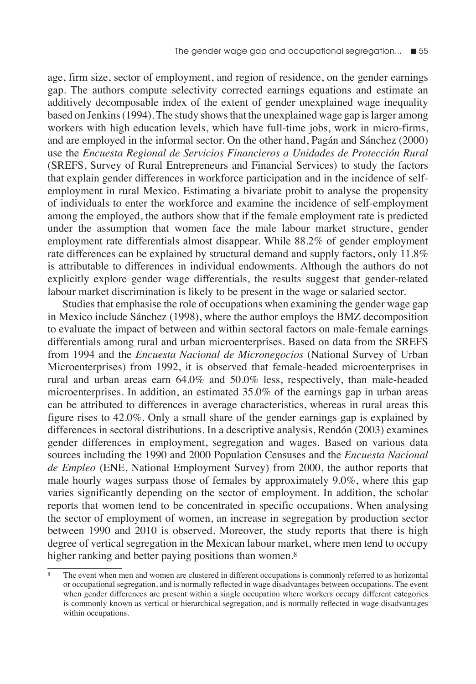age, firm size, sector of employment, and region of residence, on the gender earnings gap. The authors compute selectivity corrected earnings equations and estimate an additively decomposable index of the extent of gender unexplained wage inequality based on Jenkins (1994). The study shows that the unexplained wage gap is larger among workers with high education levels, which have full-time jobs, work in micro-firms, and are employed in the informal sector. On the other hand, Pagán and Sánchez (2000) use the *Encuesta Regional de Servicios Financieros a Unidades de Protección Rural* (SREFS, Survey of Rural Entrepreneurs and Financial Services) to study the factors that explain gender differences in workforce participation and in the incidence of selfemployment in rural Mexico. Estimating a bivariate probit to analyse the propensity of individuals to enter the workforce and examine the incidence of self-employment among the employed, the authors show that if the female employment rate is predicted under the assumption that women face the male labour market structure, gender employment rate differentials almost disappear. While 88.2% of gender employment rate differences can be explained by structural demand and supply factors, only 11.8% is attributable to differences in individual endowments. Although the authors do not explicitly explore gender wage differentials, the results suggest that gender-related labour market discrimination is likely to be present in the wage or salaried sector.

Studies that emphasise the role of occupations when examining the gender wage gap in Mexico include Sánchez (1998), where the author employs the BMZ decomposition to evaluate the impact of between and within sectoral factors on male-female earnings differentials among rural and urban microenterprises. Based on data from the SREFS from 1994 and the *Encuesta Nacional de Micronegocios* (National Survey of Urban Microenterprises) from 1992, it is observed that female-headed microenterprises in rural and urban areas earn 64.0% and 50.0% less, respectively, than male-headed microenterprises. In addition, an estimated 35.0% of the earnings gap in urban areas can be attributed to differences in average characteristics, whereas in rural areas this figure rises to 42.0%. Only a small share of the gender earnings gap is explained by differences in sectoral distributions. In a descriptive analysis, Rendón (2003) examines gender differences in employment, segregation and wages. Based on various data sources including the 1990 and 2000 Population Censuses and the *Encuesta Nacional de Empleo* (ENE, National Employment Survey) from 2000, the author reports that male hourly wages surpass those of females by approximately 9.0%, where this gap varies significantly depending on the sector of employment. In addition, the scholar reports that women tend to be concentrated in specific occupations. When analysing the sector of employment of women, an increase in segregation by production sector between 1990 and 2010 is observed. Moreover, the study reports that there is high degree of vertical segregation in the Mexican labour market, where men tend to occupy higher ranking and better paying positions than women.<sup>8</sup>

The event when men and women are clustered in different occupations is commonly referred to as horizontal or occupational segregation, and is normally reflected in wage disadvantages between occupations. The event when gender differences are present within a single occupation where workers occupy different categories is commonly known as vertical or hierarchical segregation, and is normally reflected in wage disadvantages within occupations.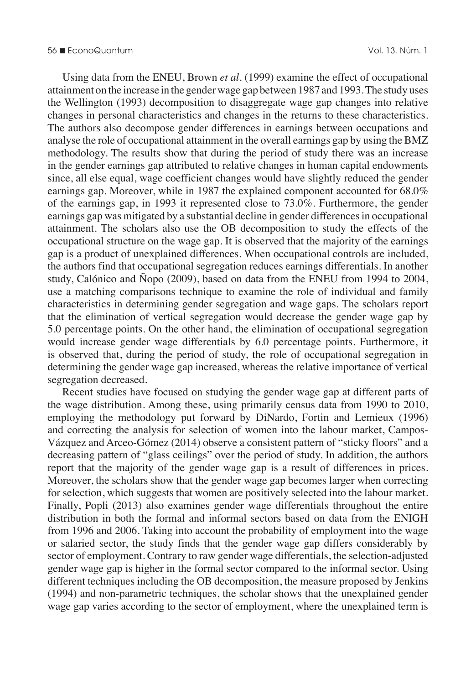Using data from the ENEU, Brown *et al.* (1999) examine the effect of occupational attainment on the increase in the gender wage gap between 1987 and 1993. The study uses the Wellington (1993) decomposition to disaggregate wage gap changes into relative changes in personal characteristics and changes in the returns to these characteristics. The authors also decompose gender differences in earnings between occupations and analyse the role of occupational attainment in the overall earnings gap by using the BMZ methodology. The results show that during the period of study there was an increase in the gender earnings gap attributed to relative changes in human capital endowments since, all else equal, wage coefficient changes would have slightly reduced the gender earnings gap. Moreover, while in 1987 the explained component accounted for 68.0% of the earnings gap, in 1993 it represented close to 73.0%. Furthermore, the gender earnings gap was mitigated by a substantial decline in gender differences in occupational attainment. The scholars also use the OB decomposition to study the effects of the occupational structure on the wage gap. It is observed that the majority of the earnings gap is a product of unexplained differences. When occupational controls are included, the authors find that occupational segregation reduces earnings differentials. In another study, Calónico and Ñopo (2009), based on data from the ENEU from 1994 to 2004, use a matching comparisons technique to examine the role of individual and family characteristics in determining gender segregation and wage gaps. The scholars report that the elimination of vertical segregation would decrease the gender wage gap by 5.0 percentage points. On the other hand, the elimination of occupational segregation would increase gender wage differentials by 6.0 percentage points. Furthermore, it is observed that, during the period of study, the role of occupational segregation in determining the gender wage gap increased, whereas the relative importance of vertical segregation decreased.

Recent studies have focused on studying the gender wage gap at different parts of the wage distribution. Among these, using primarily census data from 1990 to 2010, employing the methodology put forward by DiNardo, Fortin and Lemieux (1996) and correcting the analysis for selection of women into the labour market, Campos-Vázquez and Arceo-Gómez (2014) observe a consistent pattern of "sticky floors" and a decreasing pattern of "glass ceilings" over the period of study. In addition, the authors report that the majority of the gender wage gap is a result of differences in prices. Moreover, the scholars show that the gender wage gap becomes larger when correcting for selection, which suggests that women are positively selected into the labour market. Finally, Popli (2013) also examines gender wage differentials throughout the entire distribution in both the formal and informal sectors based on data from the ENIGH from 1996 and 2006. Taking into account the probability of employment into the wage or salaried sector, the study finds that the gender wage gap differs considerably by sector of employment. Contrary to raw gender wage differentials, the selection-adjusted gender wage gap is higher in the formal sector compared to the informal sector. Using different techniques including the OB decomposition, the measure proposed by Jenkins (1994) and non-parametric techniques, the scholar shows that the unexplained gender wage gap varies according to the sector of employment, where the unexplained term is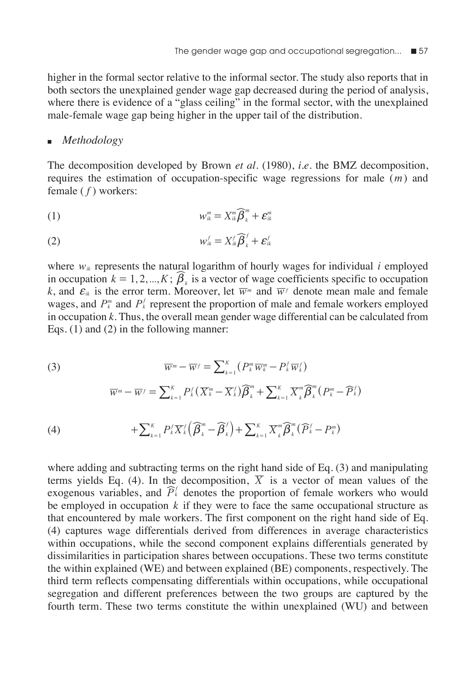higher in the formal sector relative to the informal sector. The study also reports that in both sectors the unexplained gender wage gap decreased during the period of analysis, where there is evidence of a "glass ceiling" in the formal sector, with the unexplained male-female wage gap being higher in the upper tail of the distribution.

#### <sup>n</sup>*Methodology*

The decomposition developed by Brown *et al*. (1980), *i.e.* the BMZ decomposition, requires the estimation of occupation-specific wage regressions for male (*m*) and female ( *f* ) workers:

$$
(1) \t\t\t w_k^m = X_k^m \widehat{\boldsymbol{\beta}}_k^m + \boldsymbol{\varepsilon}_k^m
$$

$$
(2) \t\t\t w_{ik}^f = X_{ik}^f \widehat{\boldsymbol{\beta}}_k^f + \boldsymbol{\varepsilon}_{ik}^f
$$

*k*

where  $w_{ik}$  represents the natural logarithm of hourly wages for individual *i* employed in occupation  $k = 1, 2, ..., K$ ;  $\widehat{\beta}_k$  is a vector of wage coefficients specific to occupation *k*, and  $\epsilon_{ik}$  is the error term. Moreover, let  $\overline{w}$  *m* and  $\overline{w}$  *f* denote mean male and female wages, and  $P_k^m$  and  $P_k^f$  represent the proportion of male and female workers employed in occupation *k*. Thus, the overall mean gender wage differential can be calculated from Eqs. (1) and (2) in the following manner:

(3)  
\n
$$
\overline{w}^{m} - \overline{w}^{f} = \sum_{k=1}^{K} (P_{k}^{m} \overline{w}_{k}^{m} - P_{k}^{f} \overline{w}_{k}^{f})
$$
\n
$$
\overline{w}^{m} - \overline{w}^{f} = \sum_{k=1}^{K} P_{k}^{f} (\overline{X}_{k}^{m} - \overline{X}_{k}^{f}) \widehat{\beta}_{k}^{m} + \sum_{k=1}^{K} \overline{X}_{k}^{m} \widehat{\beta}_{k}^{m} (P_{k}^{m} - \widehat{P}_{k}^{f})
$$
\n(4)  
\n
$$
+ \sum_{k=1}^{K} P_{k}^{f} \overline{X}_{k}^{f} (\widehat{\beta}_{k}^{m} - \widehat{\beta}_{k}^{f}) + \sum_{k=1}^{K} \overline{X}_{k}^{m} \widehat{\beta}_{k}^{m} (\widehat{P}_{k}^{f} - P_{k}^{m})
$$

*k*

*k*

*k*

*k*

where adding and subtracting terms on the right hand side of Eq. (3) and manipulating  
terms yields Eq. (4). In the decomposition, 
$$
\overline{X}
$$
 is a vector of mean values of the  
exogenous variables, and  $\widehat{P}_k^{\ell}$  denotes the proportion of female workers who would  
be employed in occupation k if they were to face the same occupational structure as  
that encountered by male workers. The first component on the right hand side of Eq.  
(4) captures wage differentials derived from differences in average characteristics  
within occurrences, while the second component explains differentials generated by  
dissimilarities in participation shares between occupations. These two terms constitute  
the within explained (WE) and between explained (BE) components, respectively. The  
third term reflects compensating differentials within occupations, while occupational  
segregation and different preferences between the two groups are captured by the  
fourth term. These two terms constitute the within unexplained (WU) and between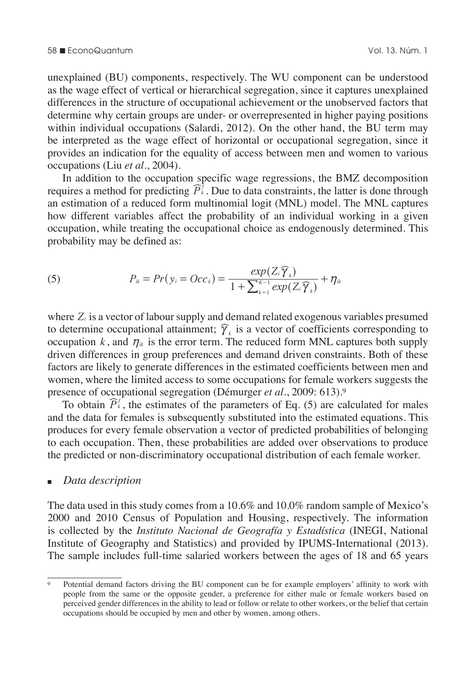unexplained (BU) components, respectively. The WU component can be understood as the wage effect of vertical or hierarchical segregation, since it captures unexplained differences in the structure of occupational achievement or the unobserved factors that determine why certain groups are under- or overrepresented in higher paying positions within individual occupations (Salardi, 2012). On the other hand, the BU term may be interpreted as the wage effect of horizontal or occupational segregation, since it provides an indication for the equality of access between men and women to various occupations (Liu *et al*., 2004).

In addition to the occupation specific wage regressions, the BMZ decomposition requires a method for predicting  $\widehat{P}_k^{\bar{j}}$ . Due to data constraints, the latter is done through an estimation of a reduced form multinomial logit (MNL) model. The MNL captures how different variables affect the probability of an individual working in a given occupation, while treating the occupational choice as endogenously determined. This probability may be defined as:

(5) 
$$
P_{ik} = Pr(y_i = Occ_k) = \frac{exp(Z_i \widehat{\gamma}_k)}{1 + \sum_{k=1}^{K-1} exp(Z_i \widehat{\gamma}_k)} + \eta_{ik}
$$

where  $Z_i$  is a vector of labour supply and demand related exogenous variables presumed to determine occupational attainment;  $\hat{\gamma}_k$  is a vector of coefficients corresponding to occupation  $k$ , and  $\eta_{ik}$  is the error term. The reduced form MNL captures both supply driven differences in group preferences and demand driven constraints. Both of these factors are likely to generate differences in the estimated coefficients between men and women, where the limited access to some occupations for female workers suggests the presence of occupational segregation (Démurger *et al*., 2009: 613).9

To obtain  $\widehat{P}_k^f$ , the estimates of the parameters of Eq. (5) are calculated for males and the data for females is subsequently substituted into the estimated equations. This produces for every female observation a vector of predicted probabilities of belonging to each occupation. Then, these probabilities are added over observations to produce the predicted or non-discriminatory occupational distribution of each female worker.

#### <sup>n</sup>*Data description*

The data used in this study comes from a 10.6% and 10.0% random sample of Mexico's 2000 and 2010 Census of Population and Housing, respectively. The information is collected by the *Instituto Nacional de Geografía y Estadística* (INEGI, National Institute of Geography and Statistics) and provided by IPUMS-International (2013). The sample includes full-time salaried workers between the ages of 18 and 65 years

<sup>9</sup> Potential demand factors driving the BU component can be for example employers' affinity to work with people from the same or the opposite gender, a preference for either male or female workers based on perceived gender differences in the ability to lead or follow or relate to other workers, or the belief that certain occupations should be occupied by men and other by women, among others.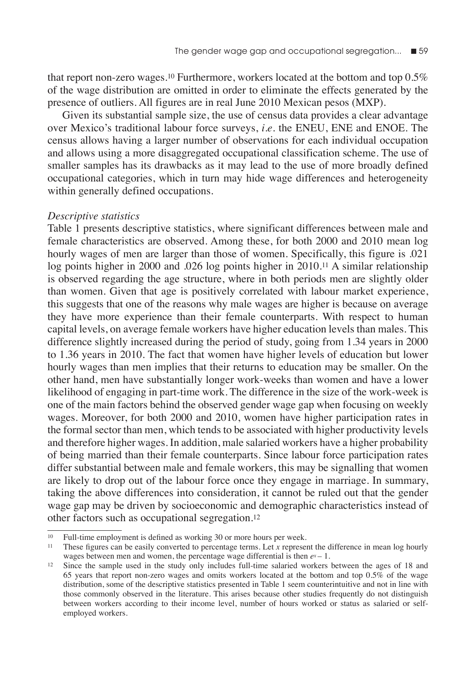that report non-zero wages.10 Furthermore, workers located at the bottom and top 0.5% of the wage distribution are omitted in order to eliminate the effects generated by the presence of outliers. All figures are in real June 2010 Mexican pesos (MXP).

Given its substantial sample size, the use of census data provides a clear advantage over Mexico's traditional labour force surveys, *i.e.* the ENEU, ENE and ENOE. The census allows having a larger number of observations for each individual occupation and allows using a more disaggregated occupational classification scheme. The use of smaller samples has its drawbacks as it may lead to the use of more broadly defined occupational categories, which in turn may hide wage differences and heterogeneity within generally defined occupations.

### *Descriptive statistics*

Table 1 presents descriptive statistics, where significant differences between male and female characteristics are observed. Among these, for both 2000 and 2010 mean log hourly wages of men are larger than those of women. Specifically, this figure is .021 log points higher in 2000 and .026 log points higher in 2010.11 A similar relationship is observed regarding the age structure, where in both periods men are slightly older than women. Given that age is positively correlated with labour market experience, this suggests that one of the reasons why male wages are higher is because on average they have more experience than their female counterparts. With respect to human capital levels, on average female workers have higher education levels than males. This difference slightly increased during the period of study, going from 1.34 years in 2000 to 1.36 years in 2010. The fact that women have higher levels of education but lower hourly wages than men implies that their returns to education may be smaller. On the other hand, men have substantially longer work-weeks than women and have a lower likelihood of engaging in part-time work. The difference in the size of the work-week is one of the main factors behind the observed gender wage gap when focusing on weekly wages. Moreover, for both 2000 and 2010, women have higher participation rates in the formal sector than men, which tends to be associated with higher productivity levels and therefore higher wages. In addition, male salaried workers have a higher probability of being married than their female counterparts. Since labour force participation rates differ substantial between male and female workers, this may be signalling that women are likely to drop out of the labour force once they engage in marriage. In summary, taking the above differences into consideration, it cannot be ruled out that the gender wage gap may be driven by socioeconomic and demographic characteristics instead of other factors such as occupational segregation.12

<sup>10</sup> Full-time employment is defined as working 30 or more hours per week.

<sup>11</sup> These figures can be easily converted to percentage terms. Let *x* represent the difference in mean log hourly wages between men and women, the percentage wage differential is then  $e^{x} - 1$ .

<sup>12</sup> Since the sample used in the study only includes full-time salaried workers between the ages of 18 and 65 years that report non-zero wages and omits workers located at the bottom and top 0.5% of the wage distribution, some of the descriptive statistics presented in Table 1 seem counterintuitive and not in line with those commonly observed in the literature. This arises because other studies frequently do not distinguish between workers according to their income level, number of hours worked or status as salaried or selfemployed workers.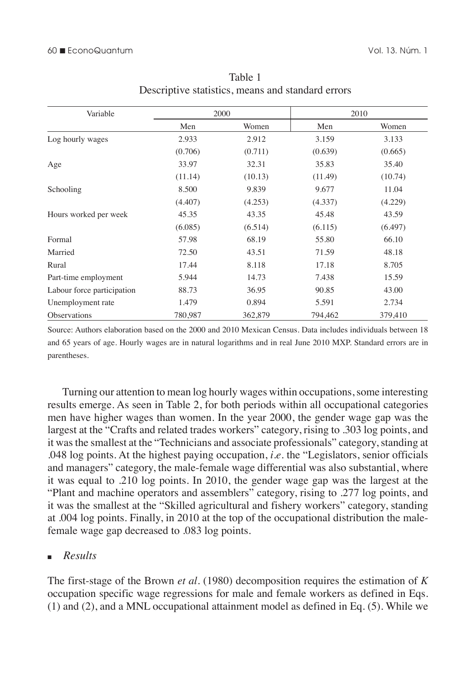| Descriptive statistics, means and standard errors |         |         |         |         |  |  |  |  |
|---------------------------------------------------|---------|---------|---------|---------|--|--|--|--|
| Variable                                          |         | 2000    | 2010    |         |  |  |  |  |
|                                                   | Men     | Women   | Men     | Women   |  |  |  |  |
| Log hourly wages                                  | 2.933   | 2.912   | 3.159   | 3.133   |  |  |  |  |
|                                                   | (0.706) | (0.711) | (0.639) | (0.665) |  |  |  |  |
| Age                                               | 33.97   | 32.31   | 35.83   | 35.40   |  |  |  |  |
|                                                   | (11.14) | (10.13) | (11.49) | (10.74) |  |  |  |  |
| Schooling                                         | 8.500   | 9.839   | 9.677   | 11.04   |  |  |  |  |
|                                                   | (4.407) | (4.253) | (4.337) | (4.229) |  |  |  |  |
| Hours worked per week                             | 45.35   | 43.35   | 45.48   | 43.59   |  |  |  |  |
|                                                   | (6.085) | (6.514) | (6.115) | (6.497) |  |  |  |  |
| Formal                                            | 57.98   | 68.19   | 55.80   | 66.10   |  |  |  |  |
| Married                                           | 72.50   | 43.51   | 71.59   | 48.18   |  |  |  |  |
| Rural                                             | 17.44   | 8.118   | 17.18   | 8.705   |  |  |  |  |
| Part-time employment                              | 5.944   | 14.73   | 7.438   | 15.59   |  |  |  |  |
| Labour force participation                        | 88.73   | 36.95   | 90.85   | 43.00   |  |  |  |  |
| Unemployment rate                                 | 1.479   | 0.894   | 5.591   | 2.734   |  |  |  |  |

Table 1 Descriptive statistics, means and standard errors

Source: Authors elaboration based on the 2000 and 2010 Mexican Census. Data includes individuals between 18 and 65 years of age. Hourly wages are in natural logarithms and in real June 2010 MXP. Standard errors are in parentheses.

Observations 780,987 362,879 794,462 379,410

Turning our attention to mean log hourly wages within occupations, some interesting results emerge. As seen in Table 2, for both periods within all occupational categories men have higher wages than women. In the year 2000, the gender wage gap was the largest at the "Crafts and related trades workers" category, rising to .303 log points, and it was the smallest at the "Technicians and associate professionals" category, standing at .048 log points. At the highest paying occupation, *i.e.* the "Legislators, senior officials and managers" category, the male-female wage differential was also substantial, where it was equal to .210 log points. In 2010, the gender wage gap was the largest at the "Plant and machine operators and assemblers" category, rising to .277 log points, and it was the smallest at the "Skilled agricultural and fishery workers" category, standing at .004 log points. Finally, in 2010 at the top of the occupational distribution the malefemale wage gap decreased to .083 log points.

## <sup>n</sup>*Results*

The first-stage of the Brown *et al*. (1980) decomposition requires the estimation of *K* occupation specific wage regressions for male and female workers as defined in Eqs. (1) and (2), and a MNL occupational attainment model as defined in Eq. (5). While we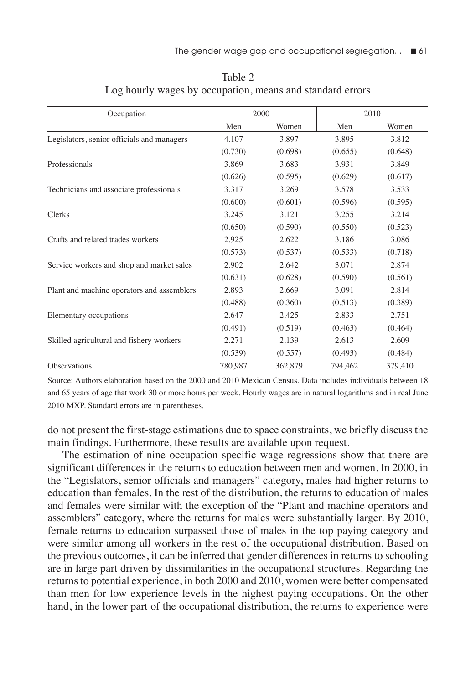| Occupation                                 |         | 2000    | 2010    |         |  |
|--------------------------------------------|---------|---------|---------|---------|--|
|                                            | Men     | Women   | Men     | Women   |  |
| Legislators, senior officials and managers | 4.107   | 3.897   | 3.895   | 3.812   |  |
|                                            | (0.730) | (0.698) | (0.655) | (0.648) |  |
| Professionals                              | 3.869   | 3.683   | 3.931   | 3.849   |  |
|                                            | (0.626) | (0.595) | (0.629) | (0.617) |  |
| Technicians and associate professionals    | 3.317   | 3.269   | 3.578   | 3.533   |  |
|                                            | (0.600) | (0.601) | (0.596) | (0.595) |  |
| Clerks                                     | 3.245   | 3.121   | 3.255   | 3.214   |  |
|                                            | (0.650) | (0.590) | (0.550) | (0.523) |  |
| Crafts and related trades workers          | 2.925   | 2.622   | 3.186   | 3.086   |  |
|                                            | (0.573) | (0.537) | (0.533) | (0.718) |  |
| Service workers and shop and market sales  | 2.902   | 2.642   | 3.071   | 2.874   |  |
|                                            | (0.631) | (0.628) | (0.590) | (0.561) |  |
| Plant and machine operators and assemblers | 2.893   | 2.669   | 3.091   | 2.814   |  |
|                                            | (0.488) | (0.360) | (0.513) | (0.389) |  |
| Elementary occupations                     | 2.647   | 2.425   | 2.833   | 2.751   |  |
|                                            | (0.491) | (0.519) | (0.463) | (0.464) |  |
| Skilled agricultural and fishery workers   | 2.271   | 2.139   | 2.613   | 2.609   |  |
|                                            | (0.539) | (0.557) | (0.493) | (0.484) |  |
| Observations                               | 780,987 | 362,879 | 794,462 | 379,410 |  |

Table 2 Log hourly wages by occupation, means and standard errors

Source: Authors elaboration based on the 2000 and 2010 Mexican Census. Data includes individuals between 18 and 65 years of age that work 30 or more hours per week. Hourly wages are in natural logarithms and in real June 2010 MXP. Standard errors are in parentheses.

do not present the first-stage estimations due to space constraints, we briefly discuss the main findings. Furthermore, these results are available upon request.

The estimation of nine occupation specific wage regressions show that there are significant differences in the returns to education between men and women. In 2000, in the "Legislators, senior officials and managers" category, males had higher returns to education than females. In the rest of the distribution, the returns to education of males and females were similar with the exception of the "Plant and machine operators and assemblers" category, where the returns for males were substantially larger. By 2010, female returns to education surpassed those of males in the top paying category and were similar among all workers in the rest of the occupational distribution. Based on the previous outcomes, it can be inferred that gender differences in returns to schooling are in large part driven by dissimilarities in the occupational structures. Regarding the returns to potential experience, in both 2000 and 2010, women were better compensated than men for low experience levels in the highest paying occupations. On the other hand, in the lower part of the occupational distribution, the returns to experience were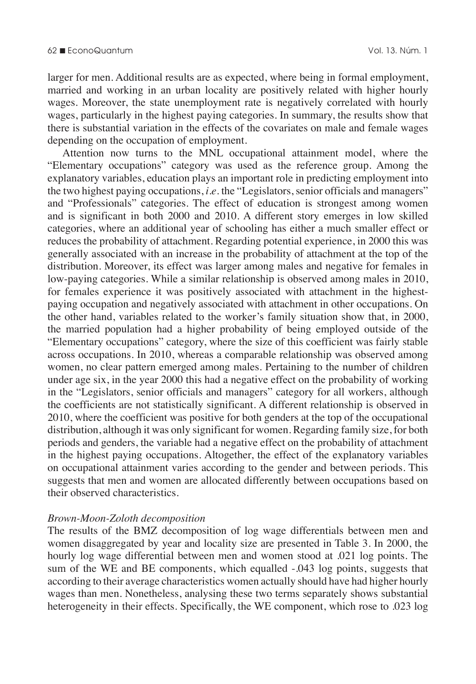larger for men. Additional results are as expected, where being in formal employment, married and working in an urban locality are positively related with higher hourly wages. Moreover, the state unemployment rate is negatively correlated with hourly wages, particularly in the highest paying categories. In summary, the results show that there is substantial variation in the effects of the covariates on male and female wages depending on the occupation of employment.

Attention now turns to the MNL occupational attainment model, where the "Elementary occupations" category was used as the reference group. Among the explanatory variables, education plays an important role in predicting employment into the two highest paying occupations, *i.e.* the "Legislators, senior officials and managers" and "Professionals" categories. The effect of education is strongest among women and is significant in both 2000 and 2010. A different story emerges in low skilled categories, where an additional year of schooling has either a much smaller effect or reduces the probability of attachment. Regarding potential experience, in 2000 this was generally associated with an increase in the probability of attachment at the top of the distribution. Moreover, its effect was larger among males and negative for females in low-paying categories. While a similar relationship is observed among males in 2010, for females experience it was positively associated with attachment in the highestpaying occupation and negatively associated with attachment in other occupations. On the other hand, variables related to the worker's family situation show that, in 2000, the married population had a higher probability of being employed outside of the "Elementary occupations" category, where the size of this coefficient was fairly stable across occupations. In 2010, whereas a comparable relationship was observed among women, no clear pattern emerged among males. Pertaining to the number of children under age six, in the year 2000 this had a negative effect on the probability of working in the "Legislators, senior officials and managers" category for all workers, although the coefficients are not statistically significant. A different relationship is observed in 2010, where the coefficient was positive for both genders at the top of the occupational distribution, although it was only significant for women. Regarding family size, for both periods and genders, the variable had a negative effect on the probability of attachment in the highest paying occupations. Altogether, the effect of the explanatory variables on occupational attainment varies according to the gender and between periods. This suggests that men and women are allocated differently between occupations based on their observed characteristics.

#### *Brown-Moon-Zoloth decomposition*

The results of the BMZ decomposition of log wage differentials between men and women disaggregated by year and locality size are presented in Table 3. In 2000, the hourly log wage differential between men and women stood at .021 log points. The sum of the WE and BE components, which equalled -.043 log points, suggests that according to their average characteristics women actually should have had higher hourly wages than men. Nonetheless, analysing these two terms separately shows substantial heterogeneity in their effects. Specifically, the WE component, which rose to .023 log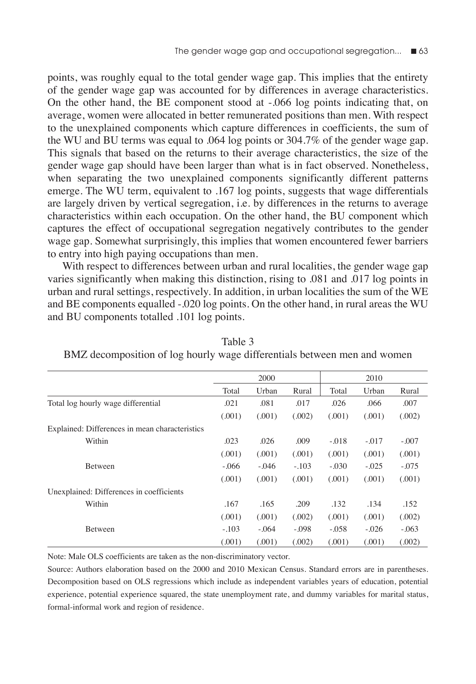points, was roughly equal to the total gender wage gap. This implies that the entirety of the gender wage gap was accounted for by differences in average characteristics. On the other hand, the BE component stood at -.066 log points indicating that, on average, women were allocated in better remunerated positions than men. With respect to the unexplained components which capture differences in coefficients, the sum of the WU and BU terms was equal to .064 log points or 304.7% of the gender wage gap. This signals that based on the returns to their average characteristics, the size of the gender wage gap should have been larger than what is in fact observed. Nonetheless, when separating the two unexplained components significantly different patterns emerge. The WU term, equivalent to .167 log points, suggests that wage differentials are largely driven by vertical segregation, i.e. by differences in the returns to average characteristics within each occupation. On the other hand, the BU component which captures the effect of occupational segregation negatively contributes to the gender wage gap. Somewhat surprisingly, this implies that women encountered fewer barriers to entry into high paying occupations than men.

With respect to differences between urban and rural localities, the gender wage gap varies significantly when making this distinction, rising to .081 and .017 log points in urban and rural settings, respectively. In addition, in urban localities the sum of the WE and BE components equalled -.020 log points. On the other hand, in rural areas the WU and BU components totalled .101 log points.

|                                                | 2000    |         |         | 2010    |         |         |
|------------------------------------------------|---------|---------|---------|---------|---------|---------|
|                                                | Total   | Urban   | Rural   | Total   | Urban   | Rural   |
| Total log hourly wage differential             | .021    | .081    | .017    | .026    | .066    | .007    |
|                                                | (.001)  | (.001)  | (.002)  | (.001)  | (.001)  | (.002)  |
| Explained: Differences in mean characteristics |         |         |         |         |         |         |
| Within                                         | .023    | .026    | .009    | $-.018$ | $-.017$ | $-.007$ |
|                                                | (.001)  | (.001)  | (.001)  | (.001)  | (.001)  | (.001)  |
| Between                                        | $-.066$ | $-.046$ | $-.103$ | $-.030$ | $-.025$ | $-.075$ |
|                                                | (.001)  | (.001)  | (.001)  | (.001)  | (.001)  | (.001)  |
| Unexplained: Differences in coefficients       |         |         |         |         |         |         |
| Within                                         | .167    | .165    | .209    | .132    | .134    | .152    |
|                                                | (.001)  | (.001)  | (.002)  | (.001)  | (.001)  | (.002)  |
| Between                                        | $-.103$ | $-.064$ | $-.098$ | $-.058$ | $-.026$ | $-.063$ |
|                                                | (.001)  | (.001)  | (.002)  | (.001)  | (.001)  | (.002)  |

Table 3 BMZ decomposition of log hourly wage differentials between men and women

Note: Male OLS coefficients are taken as the non-discriminatory vector.

Source: Authors elaboration based on the 2000 and 2010 Mexican Census. Standard errors are in parentheses. Decomposition based on OLS regressions which include as independent variables years of education, potential experience, potential experience squared, the state unemployment rate, and dummy variables for marital status, formal-informal work and region of residence.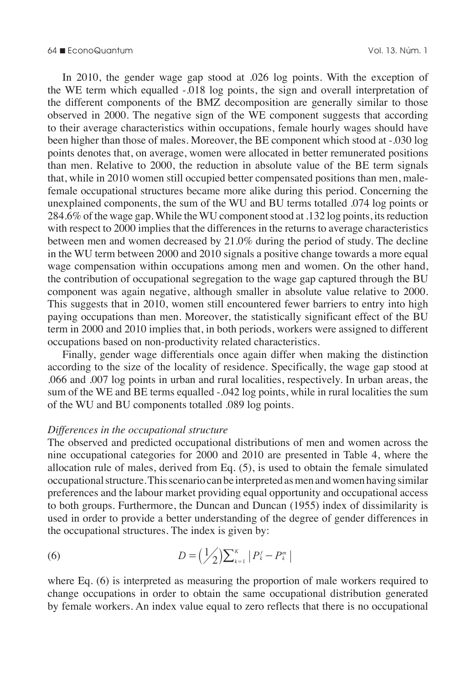In 2010, the gender wage gap stood at .026 log points. With the exception of the WE term which equalled -.018 log points, the sign and overall interpretation of the different components of the BMZ decomposition are generally similar to those observed in 2000. The negative sign of the WE component suggests that according to their average characteristics within occupations, female hourly wages should have been higher than those of males. Moreover, the BE component which stood at -.030 log points denotes that, on average, women were allocated in better remunerated positions than men. Relative to 2000, the reduction in absolute value of the BE term signals that, while in 2010 women still occupied better compensated positions than men, malefemale occupational structures became more alike during this period. Concerning the unexplained components, the sum of the WU and BU terms totalled .074 log points or 284.6% of the wage gap. While the WU component stood at .132 log points, its reduction with respect to 2000 implies that the differences in the returns to average characteristics between men and women decreased by 21.0% during the period of study. The decline in the WU term between 2000 and 2010 signals a positive change towards a more equal wage compensation within occupations among men and women. On the other hand, the contribution of occupational segregation to the wage gap captured through the BU component was again negative, although smaller in absolute value relative to 2000. This suggests that in 2010, women still encountered fewer barriers to entry into high paying occupations than men. Moreover, the statistically significant effect of the BU term in 2000 and 2010 implies that, in both periods, workers were assigned to different occupations based on non-productivity related characteristics.

Finally, gender wage differentials once again differ when making the distinction according to the size of the locality of residence. Specifically, the wage gap stood at .066 and .007 log points in urban and rural localities, respectively. In urban areas, the sum of the WE and BE terms equalled -.042 log points, while in rural localities the sum of the WU and BU components totalled .089 log points.

#### *Differences in the occupational structure*

The observed and predicted occupational distributions of men and women across the nine occupational categories for 2000 and 2010 are presented in Table 4, where the allocation rule of males, derived from Eq. (5), is used to obtain the female simulated occupational structure. This scenario can be interpreted as men and women having similar preferences and the labour market providing equal opportunity and occupational access to both groups. Furthermore, the Duncan and Duncan (1955) index of dissimilarity is used in order to provide a better understanding of the degree of gender differences in the occupational structures. The index is given by:

(6) 
$$
D = (\frac{1}{2})\sum_{k=1}^{K} |P_{k}^{f} - P_{k}^{m}|
$$

where Eq. (6) is interpreted as measuring the proportion of male workers required to change occupations in order to obtain the same occupational distribution generated by female workers. An index value equal to zero reflects that there is no occupational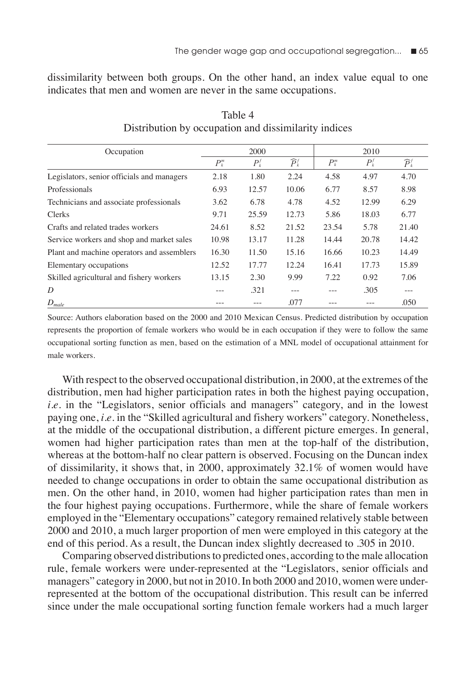dissimilarity between both groups. On the other hand, an index value equal to one indicates that men and women are never in the same occupations.

| Occupation                                 | 2000        |         |                       | 2010        |         |                       |
|--------------------------------------------|-------------|---------|-----------------------|-------------|---------|-----------------------|
|                                            | $P_{k}^{m}$ | $P_k^f$ | $\widehat{P}_{k}^{f}$ | $P_{k}^{m}$ | $P_k^f$ | $\widehat{P}_{k}^{f}$ |
| Legislators, senior officials and managers | 2.18        | 1.80    | 2.24                  | 4.58        | 4.97    | 4.70                  |
| Professionals                              | 6.93        | 12.57   | 10.06                 | 6.77        | 8.57    | 8.98                  |
| Technicians and associate professionals    | 3.62        | 6.78    | 4.78                  | 4.52        | 12.99   | 6.29                  |
| <b>Clerks</b>                              | 9.71        | 25.59   | 12.73                 | 5.86        | 18.03   | 6.77                  |
| Crafts and related trades workers          | 24.61       | 8.52    | 21.52                 | 23.54       | 5.78    | 21.40                 |
| Service workers and shop and market sales  | 10.98       | 13.17   | 11.28                 | 14.44       | 20.78   | 14.42                 |
| Plant and machine operators and assemblers | 16.30       | 11.50   | 15.16                 | 16.66       | 10.23   | 14.49                 |
| Elementary occupations                     | 12.52       | 17.77   | 12.24                 | 16.41       | 17.73   | 15.89                 |
| Skilled agricultural and fishery workers   | 13.15       | 2.30    | 9.99                  | 7.22        | 0.92    | 7.06                  |
| D                                          |             | .321    | ---                   |             | .305    |                       |
| $D_{male}$                                 |             |         | .077                  |             |         | .050                  |

Table 4 Distribution by occupation and dissimilarity indices

Source: Authors elaboration based on the 2000 and 2010 Mexican Census. Predicted distribution by occupation represents the proportion of female workers who would be in each occupation if they were to follow the same occupational sorting function as men, based on the estimation of a MNL model of occupational attainment for male workers.

With respect to the observed occupational distribution, in 2000, at the extremes of the distribution, men had higher participation rates in both the highest paying occupation, *i.e.* in the "Legislators, senior officials and managers" category, and in the lowest paying one, *i.e.* in the "Skilled agricultural and fishery workers" category. Nonetheless, at the middle of the occupational distribution, a different picture emerges. In general, women had higher participation rates than men at the top-half of the distribution, whereas at the bottom-half no clear pattern is observed. Focusing on the Duncan index of dissimilarity, it shows that, in 2000, approximately 32.1% of women would have needed to change occupations in order to obtain the same occupational distribution as men. On the other hand, in 2010, women had higher participation rates than men in the four highest paying occupations. Furthermore, while the share of female workers employed in the "Elementary occupations" category remained relatively stable between 2000 and 2010, a much larger proportion of men were employed in this category at the end of this period. As a result, the Duncan index slightly decreased to .305 in 2010.

Comparing observed distributions to predicted ones, according to the male allocation rule, female workers were under-represented at the "Legislators, senior officials and managers" category in 2000, but not in 2010. In both 2000 and 2010, women were underrepresented at the bottom of the occupational distribution. This result can be inferred since under the male occupational sorting function female workers had a much larger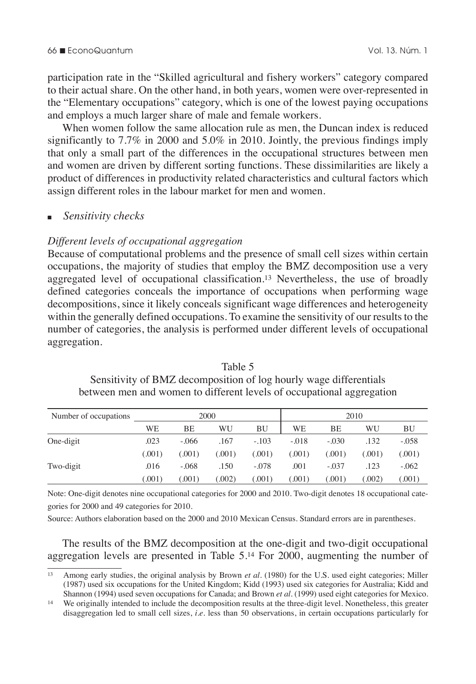participation rate in the "Skilled agricultural and fishery workers" category compared to their actual share. On the other hand, in both years, women were over-represented in the "Elementary occupations" category, which is one of the lowest paying occupations and employs a much larger share of male and female workers.

When women follow the same allocation rule as men, the Duncan index is reduced significantly to 7.7% in 2000 and 5.0% in 2010. Jointly, the previous findings imply that only a small part of the differences in the occupational structures between men and women are driven by different sorting functions. These dissimilarities are likely a product of differences in productivity related characteristics and cultural factors which assign different roles in the labour market for men and women.

#### <sup>n</sup>*Sensitivity checks*

#### *Different levels of occupational aggregation*

Because of computational problems and the presence of small cell sizes within certain occupations, the majority of studies that employ the BMZ decomposition use a very aggregated level of occupational classification.13 Nevertheless, the use of broadly defined categories conceals the importance of occupations when performing wage decompositions, since it likely conceals significant wage differences and heterogeneity within the generally defined occupations. To examine the sensitivity of our results to the number of categories, the analysis is performed under different levels of occupational aggregation.

| Number of occupations | 2000   |         |        | 2010    |         |         |       |         |
|-----------------------|--------|---------|--------|---------|---------|---------|-------|---------|
|                       | WE     | BE      | WU     | ΒU      | WE      | BE      | WU    | BU      |
| One-digit             | .023   | $-.066$ | .167   | $-.103$ | $-.018$ | $-.030$ | .132  | $-.058$ |
|                       | (.001) | 0.001   | (.001) | 0.001   | (.001)  | (.001)  | 0.001 | (.001)  |
| Two-digit             | .016   | $-.068$ | .150   | $-.078$ | .001    | $-.037$ | .123  | $-.062$ |
|                       | 0.001  | .001)   | 002)   | .001)   | (.001)  | .001)   | .002) | (.001)  |

Table 5 Sensitivity of BMZ decomposition of log hourly wage differentials between men and women to different levels of occupational aggregation

Note: One-digit denotes nine occupational categories for 2000 and 2010. Two-digit denotes 18 occupational categories for 2000 and 49 categories for 2010.

Source: Authors elaboration based on the 2000 and 2010 Mexican Census. Standard errors are in parentheses.

The results of the BMZ decomposition at the one-digit and two-digit occupational aggregation levels are presented in Table 5.14 For 2000, augmenting the number of

<sup>13</sup> Among early studies, the original analysis by Brown *et al*. (1980) for the U.S. used eight categories; Miller (1987) used six occupations for the United Kingdom; Kidd (1993) used six categories for Australia; Kidd and Shannon (1994) used seven occupations for Canada; and Brown *et al*. (1999) used eight categories for Mexico.

<sup>14</sup> We originally intended to include the decomposition results at the three-digit level. Nonetheless, this greater disaggregation led to small cell sizes, *i.e.* less than 50 observations, in certain occupations particularly for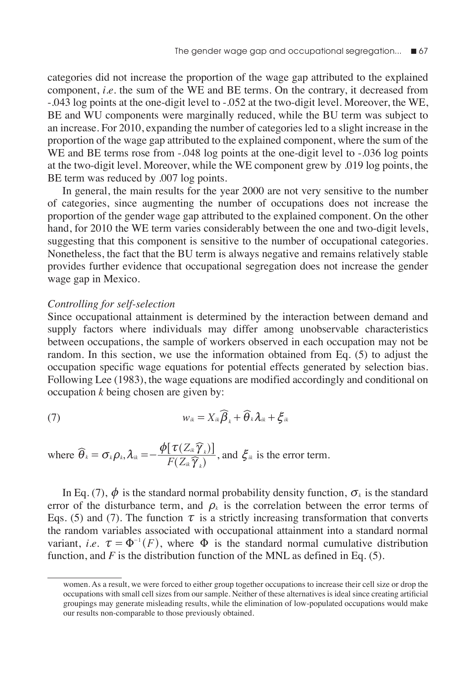categories did not increase the proportion of the wage gap attributed to the explained component, *i.e.* the sum of the WE and BE terms. On the contrary, it decreased from -.043 log points at the one-digit level to -.052 at the two-digit level. Moreover, the WE, BE and WU components were marginally reduced, while the BU term was subject to an increase. For 2010, expanding the number of categories led to a slight increase in the proportion of the wage gap attributed to the explained component, where the sum of the WE and BE terms rose from -.048 log points at the one-digit level to -.036 log points at the two-digit level. Moreover, while the WE component grew by .019 log points, the BE term was reduced by .007 log points.

In general, the main results for the year 2000 are not very sensitive to the number of categories, since augmenting the number of occupations does not increase the proportion of the gender wage gap attributed to the explained component. On the other hand, for 2010 the WE term varies considerably between the one and two-digit levels, suggesting that this component is sensitive to the number of occupational categories. Nonetheless, the fact that the BU term is always negative and remains relatively stable provides further evidence that occupational segregation does not increase the gender wage gap in Mexico.

#### *Controlling for self-selection*

Since occupational attainment is determined by the interaction between demand and supply factors where individuals may differ among unobservable characteristics between occupations, the sample of workers observed in each occupation may not be random. In this section, we use the information obtained from Eq. (5) to adjust the occupation specific wage equations for potential effects generated by selection bias. Following Lee (1983), the wage equations are modified accordingly and conditional on occupation *k* being chosen are given by:

(7) 
$$
w_{ik} = X_{ik} \widehat{\boldsymbol{\beta}}_k + \widehat{\boldsymbol{\theta}}_k \boldsymbol{\lambda}_{ik} + \boldsymbol{\xi}_{ik}
$$

where 
$$
\widehat{\theta}_k = \sigma_k \rho_k
$$
,  $\lambda_{ik} = -\frac{\phi[\tau(Z_{ik}\widehat{\gamma}_k)]}{F(Z_{ik}\widehat{\gamma}_k)}$ , and  $\xi_{ik}$  is the error term.

In Eq. (7),  $\phi$  is the standard normal probability density function,  $\sigma_k$  is the standard error of the disturbance term, and  $\rho_k$  is the correlation between the error terms of Eqs. (5) and (7). The function  $\tau$  is a strictly increasing transformation that converts the random variables associated with occupational attainment into a standard normal variant, *i.e.*  $\tau = \Phi^{-1}(F)$ , where  $\Phi$  is the standard normal cumulative distribution function, and *F* is the distribution function of the MNL as defined in Eq. (5).

women. As a result, we were forced to either group together occupations to increase their cell size or drop the occupations with small cell sizes from our sample. Neither of these alternatives is ideal since creating artificial groupings may generate misleading results, while the elimination of low-populated occupations would make our results non-comparable to those previously obtained.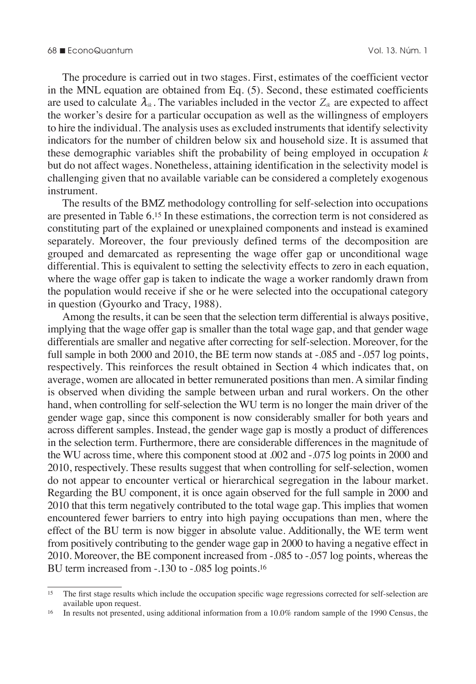The procedure is carried out in two stages. First, estimates of the coefficient vector in the MNL equation are obtained from Eq. (5). Second, these estimated coefficients are used to calculate  $\lambda_{ik}$ . The variables included in the vector  $Z_{ik}$  are expected to affect the worker's desire for a particular occupation as well as the willingness of employers to hire the individual. The analysis uses as excluded instruments that identify selectivity indicators for the number of children below six and household size. It is assumed that these demographic variables shift the probability of being employed in occupation *k* but do not affect wages. Nonetheless, attaining identification in the selectivity model is challenging given that no available variable can be considered a completely exogenous instrument.

The results of the BMZ methodology controlling for self-selection into occupations are presented in Table 6.15 In these estimations, the correction term is not considered as constituting part of the explained or unexplained components and instead is examined separately. Moreover, the four previously defined terms of the decomposition are grouped and demarcated as representing the wage offer gap or unconditional wage differential. This is equivalent to setting the selectivity effects to zero in each equation, where the wage offer gap is taken to indicate the wage a worker randomly drawn from the population would receive if she or he were selected into the occupational category in question (Gyourko and Tracy, 1988).

Among the results, it can be seen that the selection term differential is always positive, implying that the wage offer gap is smaller than the total wage gap, and that gender wage differentials are smaller and negative after correcting for self-selection. Moreover, for the full sample in both 2000 and 2010, the BE term now stands at -.085 and -.057 log points, respectively. This reinforces the result obtained in Section 4 which indicates that, on average, women are allocated in better remunerated positions than men. A similar finding is observed when dividing the sample between urban and rural workers. On the other hand, when controlling for self-selection the WU term is no longer the main driver of the gender wage gap, since this component is now considerably smaller for both years and across different samples. Instead, the gender wage gap is mostly a product of differences in the selection term. Furthermore, there are considerable differences in the magnitude of the WU across time, where this component stood at .002 and -.075 log points in 2000 and 2010, respectively. These results suggest that when controlling for self-selection, women do not appear to encounter vertical or hierarchical segregation in the labour market. Regarding the BU component, it is once again observed for the full sample in 2000 and 2010 that this term negatively contributed to the total wage gap. This implies that women encountered fewer barriers to entry into high paying occupations than men, where the effect of the BU term is now bigger in absolute value. Additionally, the WE term went from positively contributing to the gender wage gap in 2000 to having a negative effect in 2010. Moreover, the BE component increased from -.085 to -.057 log points, whereas the BU term increased from -.130 to -.085 log points.16

<sup>&</sup>lt;sup>15</sup> The first stage results which include the occupation specific wage regressions corrected for self-selection are available upon request.

<sup>16</sup> In results not presented, using additional information from a 10.0% random sample of the 1990 Census, the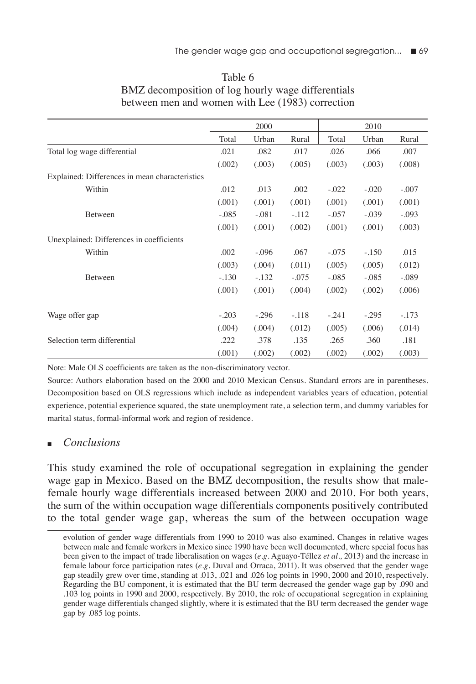|                                                |         | 2000    |         |         | 2010    |         |
|------------------------------------------------|---------|---------|---------|---------|---------|---------|
|                                                | Total   | Urban   | Rural   | Total   | Urban   | Rural   |
| Total log wage differential                    | .021    | .082    | .017    | .026    | .066    | .007    |
|                                                | (.002)  | (.003)  | (.005)  | (.003)  | (.003)  | (.008)  |
| Explained: Differences in mean characteristics |         |         |         |         |         |         |
| Within                                         | .012    | .013    | .002    | $-.022$ | $-.020$ | $-.007$ |
|                                                | (.001)  | (.001)  | (.001)  | (.001)  | (.001)  | (.001)  |
| Between                                        | $-.085$ | $-.081$ | $-.112$ | $-.057$ | $-.039$ | $-.093$ |
|                                                | (.001)  | (.001)  | (.002)  | (.001)  | (.001)  | (.003)  |
| Unexplained: Differences in coefficients       |         |         |         |         |         |         |
| Within                                         | .002    | $-.096$ | .067    | $-.075$ | $-.150$ | .015    |
|                                                | (.003)  | (.004)  | (.011)  | (.005)  | (.005)  | (.012)  |
| <b>Between</b>                                 | $-.130$ | $-.132$ | $-.075$ | $-.085$ | $-.085$ | $-.089$ |
|                                                | (.001)  | (.001)  | (.004)  | (.002)  | (.002)  | (.006)  |
| Wage offer gap                                 | $-.203$ | $-.296$ | $-.118$ | $-.241$ | $-.295$ | $-.173$ |
|                                                | (.004)  | (.004)  | (.012)  | (.005)  | (.006)  | (.014)  |
| Selection term differential                    | .222    | .378    | .135    | .265    | .360    | .181    |
|                                                | (.001)  | (.002)  | (.002)  | (.002)  | (.002)  | (.003)  |

## Table 6 BMZ decomposition of log hourly wage differentials between men and women with Lee (1983) correction

Note: Male OLS coefficients are taken as the non-discriminatory vector.

Source: Authors elaboration based on the 2000 and 2010 Mexican Census. Standard errors are in parentheses. Decomposition based on OLS regressions which include as independent variables years of education, potential experience, potential experience squared, the state unemployment rate, a selection term, and dummy variables for marital status, formal-informal work and region of residence.

## *Conclusions*

This study examined the role of occupational segregation in explaining the gender wage gap in Mexico. Based on the BMZ decomposition, the results show that malefemale hourly wage differentials increased between 2000 and 2010. For both years, the sum of the within occupation wage differentials components positively contributed to the total gender wage gap, whereas the sum of the between occupation wage

evolution of gender wage differentials from 1990 to 2010 was also examined. Changes in relative wages between male and female workers in Mexico since 1990 have been well documented, where special focus has been given to the impact of trade liberalisation on wages (*e.g.* Aguayo-Téllez *et al.,* 2013) and the increase in female labour force participation rates (*e.g.* Duval and Orraca, 2011). It was observed that the gender wage gap steadily grew over time, standing at .013, .021 and .026 log points in 1990, 2000 and 2010, respectively. Regarding the BU component, it is estimated that the BU term decreased the gender wage gap by .090 and .103 log points in 1990 and 2000, respectively. By 2010, the role of occupational segregation in explaining gender wage differentials changed slightly, where it is estimated that the BU term decreased the gender wage gap by .085 log points.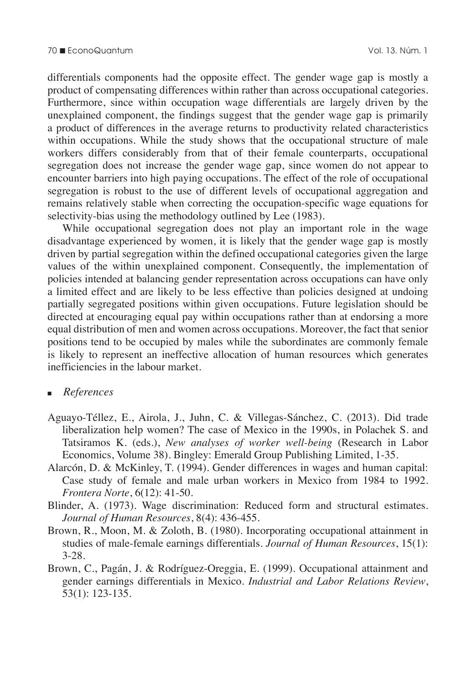differentials components had the opposite effect. The gender wage gap is mostly a product of compensating differences within rather than across occupational categories. Furthermore, since within occupation wage differentials are largely driven by the unexplained component, the findings suggest that the gender wage gap is primarily a product of differences in the average returns to productivity related characteristics within occupations. While the study shows that the occupational structure of male workers differs considerably from that of their female counterparts, occupational segregation does not increase the gender wage gap, since women do not appear to encounter barriers into high paying occupations. The effect of the role of occupational segregation is robust to the use of different levels of occupational aggregation and remains relatively stable when correcting the occupation-specific wage equations for selectivity-bias using the methodology outlined by Lee (1983).

While occupational segregation does not play an important role in the wage disadvantage experienced by women, it is likely that the gender wage gap is mostly driven by partial segregation within the defined occupational categories given the large values of the within unexplained component. Consequently, the implementation of policies intended at balancing gender representation across occupations can have only a limited effect and are likely to be less effective than policies designed at undoing partially segregated positions within given occupations. Future legislation should be directed at encouraging equal pay within occupations rather than at endorsing a more equal distribution of men and women across occupations. Moreover, the fact that senior positions tend to be occupied by males while the subordinates are commonly female is likely to represent an ineffective allocation of human resources which generates inefficiencies in the labour market.

#### <sup>n</sup>*References*

- Aguayo-Téllez, E., Airola, J., Juhn, C. & Villegas-Sánchez, C. (2013). Did trade liberalization help women? The case of Mexico in the 1990s, in Polachek S. and Tatsiramos K. (eds.), *New analyses of worker well-being* (Research in Labor Economics, Volume 38). Bingley: Emerald Group Publishing Limited, 1-35.
- Alarcón, D. & McKinley, T. (1994). Gender differences in wages and human capital: Case study of female and male urban workers in Mexico from 1984 to 1992*. Frontera Norte*, 6(12): 41-50.
- Blinder, A. (1973). Wage discrimination: Reduced form and structural estimates. *Journal of Human Resources*, 8(4): 436-455.
- Brown, R., Moon, M. & Zoloth, B. (1980). Incorporating occupational attainment in studies of male-female earnings differentials. *Journal of Human Resources*, 15(1): 3-28.
- Brown, C., Pagán, J. & Rodríguez-Oreggia, E. (1999). Occupational attainment and gender earnings differentials in Mexico. *Industrial and Labor Relations Review*, 53(1): 123-135.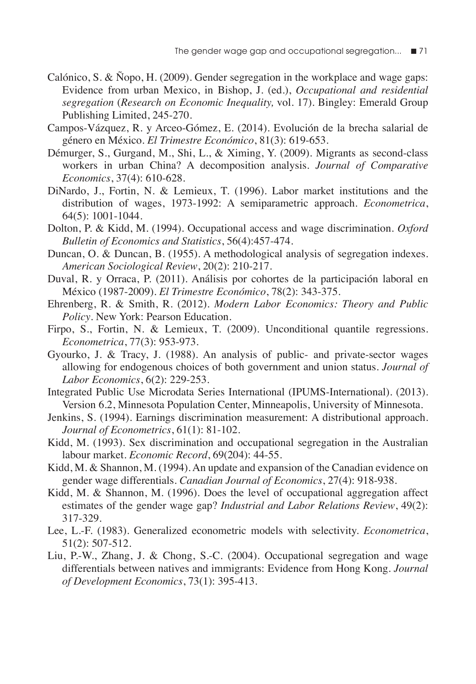- Calónico, S. & Ñopo, H. (2009). Gender segregation in the workplace and wage gaps: Evidence from urban Mexico, in Bishop, J. (ed.), *Occupational and residential segregation* (*Research on Economic Inequality,* vol. 17). Bingley: Emerald Group Publishing Limited, 245-270.
- Campos-Vázquez, R. y Arceo-Gómez, E. (2014). Evolución de la brecha salarial de género en México. *El Trimestre Económico*, 81(3): 619-653.
- Démurger, S., Gurgand, M., Shi, L., & Ximing, Y. (2009). Migrants as second-class workers in urban China? A decomposition analysis. *Journal of Comparative Economics*, 37(4): 610-628.
- DiNardo, J., Fortin, N. & Lemieux, T. (1996). Labor market institutions and the distribution of wages, 1973-1992: A semiparametric approach. *Econometrica*, 64(5): 1001-1044.
- Dolton, P. & Kidd, M. (1994). Occupational access and wage discrimination. *Oxford Bulletin of Economics and Statistics*, 56(4):457-474.
- Duncan, O. & Duncan, B. (1955). A methodological analysis of segregation indexes. *American Sociological Review*, 20(2): 210-217.
- Duval, R. y Orraca, P. (2011). Análisis por cohortes de la participación laboral en México (1987-2009). *El Trimestre Económico*, 78(2): 343-375.
- Ehrenberg, R. & Smith, R. (2012). *Modern Labor Economics: Theory and Public Policy*. New York: Pearson Education.
- Firpo, S., Fortin, N. & Lemieux, T. (2009). Unconditional quantile regressions. *Econometrica*, 77(3): 953-973.
- Gyourko, J. & Tracy, J. (1988). An analysis of public- and private-sector wages allowing for endogenous choices of both government and union status. *Journal of Labor Economics*, 6(2): 229-253.
- Integrated Public Use Microdata Series International (IPUMS-International). (2013). Version 6.2, Minnesota Population Center, Minneapolis, University of Minnesota.
- Jenkins, S. (1994). Earnings discrimination measurement: A distributional approach. *Journal of Econometrics*, 61(1): 81-102.
- Kidd, M. (1993). Sex discrimination and occupational segregation in the Australian labour market. *Economic Record*, 69(204): 44-55.
- Kidd, M. & Shannon, M. (1994). An update and expansion of the Canadian evidence on gender wage differentials. *Canadian Journal of Economics*, 27(4): 918-938.
- Kidd, M. & Shannon, M. (1996). Does the level of occupational aggregation affect estimates of the gender wage gap? *Industrial and Labor Relations Review*, 49(2): 317-329.
- Lee, L.-F. (1983). Generalized econometric models with selectivity. *Econometrica*, 51(2): 507-512.
- Liu, P.-W., Zhang, J. & Chong, S.-C. (2004). Occupational segregation and wage differentials between natives and immigrants: Evidence from Hong Kong. *Journal of Development Economics*, 73(1): 395-413.